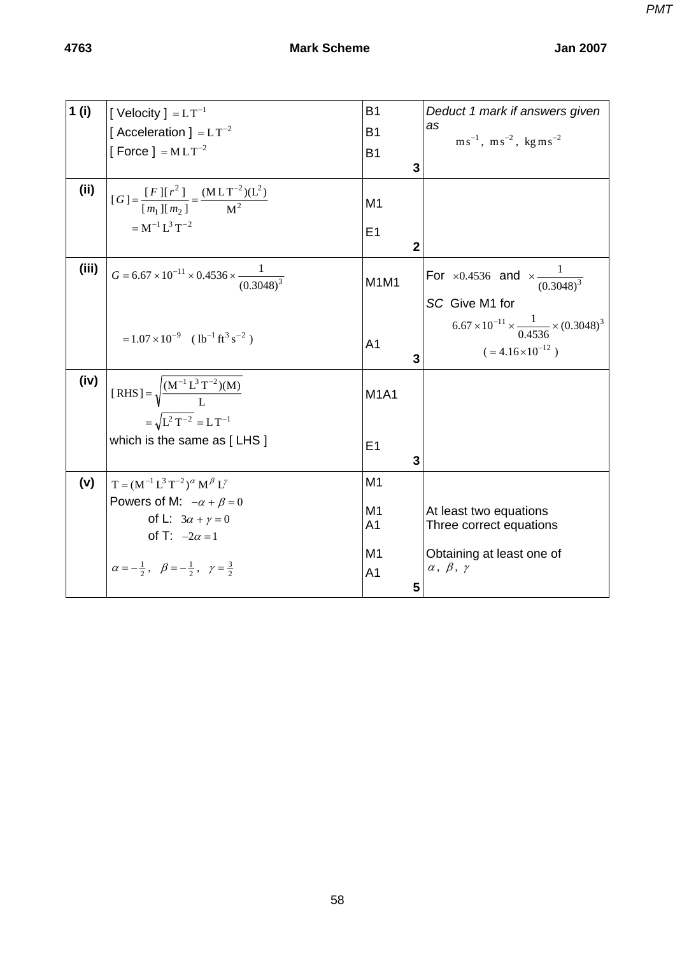| 1(i)  |                                                                          | <b>B1</b>            | Deduct 1 mark if answers given                                   |
|-------|--------------------------------------------------------------------------|----------------------|------------------------------------------------------------------|
|       | [Velocity] = $LT^{-1}$                                                   |                      | as                                                               |
|       | [Acceleration ] = $LT^{-2}$                                              | <b>B1</b>            | $\text{ms}^{-1}$ , $\text{ms}^{-2}$ , kg ms <sup>-2</sup>        |
|       | [Force ] = $MLT^{-2}$                                                    | <b>B1</b>            |                                                                  |
|       |                                                                          | 3                    |                                                                  |
| (ii)  |                                                                          |                      |                                                                  |
|       | $[G] = \frac{[F][r^2]}{[m_1][m_2]} = \frac{(MLT^{-2})(L^2)}{M^2}$        | M <sub>1</sub>       |                                                                  |
|       | $= M^{-1} L^3 T^{-2}$                                                    |                      |                                                                  |
|       |                                                                          | E1                   |                                                                  |
|       |                                                                          | $\overline{2}$       |                                                                  |
| (iii) | $G = 6.67 \times 10^{-11} \times 0.4536 \times \frac{1}{(0.3048)^3}$     |                      | For ×0.4536 and $\times \frac{1}{(0.3048)^3}$                    |
|       |                                                                          | M1M1                 |                                                                  |
|       |                                                                          |                      | SC Give M1 for                                                   |
|       |                                                                          |                      | $6.67 \times 10^{-11} \times \frac{1}{0.4536} \times (0.3048)^3$ |
|       | $=1.07\times10^{-9}$ (lb <sup>-1</sup> ft <sup>3</sup> s <sup>-2</sup> ) | A <sub>1</sub>       |                                                                  |
|       |                                                                          | 3                    | $( = 4.16 \times 10^{-12})$                                      |
|       |                                                                          |                      |                                                                  |
| (iv)  | [RHS] = $\sqrt{\frac{(M^{-1} L^3 T^{-2})(M)}{I}}$                        |                      |                                                                  |
|       |                                                                          | <b>M1A1</b>          |                                                                  |
|       | $=\sqrt{L^2T^{-2}}=LT^{-1}$                                              |                      |                                                                  |
|       | which is the same as [LHS]                                               |                      |                                                                  |
|       |                                                                          | E1                   |                                                                  |
|       |                                                                          | 3                    |                                                                  |
| (v)   | $T = (M^{-1} L^3 T^{-2})^{\alpha} M^{\beta} L^{\gamma}$                  | M <sub>1</sub>       |                                                                  |
|       | Powers of M: $-\alpha + \beta = 0$                                       |                      |                                                                  |
|       | of L: $3\alpha + \gamma = 0$                                             | M1<br>A <sub>1</sub> | At least two equations<br>Three correct equations                |
|       | of T: $-2\alpha = 1$                                                     |                      |                                                                  |
|       |                                                                          | M1                   | Obtaining at least one of                                        |
|       | $\alpha = -\frac{1}{2}, \beta = -\frac{1}{2}, \gamma = \frac{3}{2}$      | A <sub>1</sub>       | $\alpha, \beta, \gamma$                                          |
|       |                                                                          | 5                    |                                                                  |
|       |                                                                          |                      |                                                                  |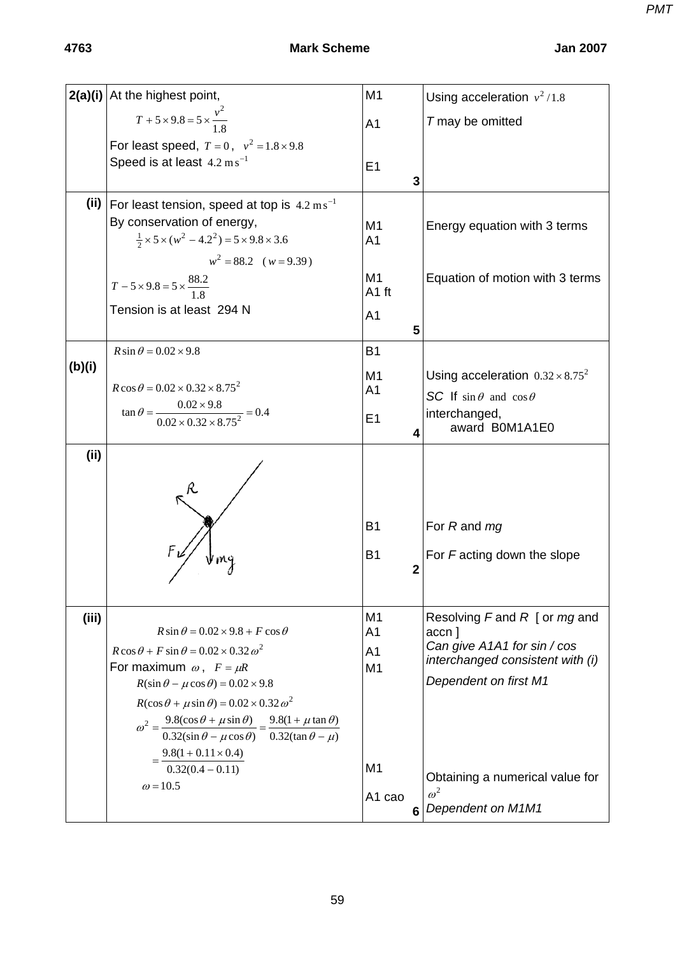*PMT*

|        | $2(a)(i)$ At the highest point,                                                                                                               | M <sub>1</sub>                   | Using acceleration $v^2/1.8$                  |
|--------|-----------------------------------------------------------------------------------------------------------------------------------------------|----------------------------------|-----------------------------------------------|
|        | $T + 5 \times 9.8 = 5 \times \frac{v^2}{1.8}$                                                                                                 | A <sub>1</sub>                   | T may be omitted                              |
|        | For least speed, $T = 0$ , $v^2 = 1.8 \times 9.8$                                                                                             |                                  |                                               |
|        | Speed is at least $4.2 \text{ m s}^{-1}$                                                                                                      | E1                               |                                               |
|        |                                                                                                                                               | 3                                |                                               |
|        | (ii)   For least tension, speed at top is $4.2 \text{ ms}^{-1}$                                                                               |                                  |                                               |
|        | By conservation of energy,<br>$\frac{1}{2} \times 5 \times (w^2 - 4.2^2) = 5 \times 9.8 \times 3.6$                                           | M1<br>A <sub>1</sub>             | Energy equation with 3 terms                  |
|        | $w^2 = 88.2$ ( $w = 9.39$ )                                                                                                                   |                                  |                                               |
|        |                                                                                                                                               | M1                               | Equation of motion with 3 terms               |
|        | $T - 5 \times 9.8 = 5 \times \frac{88.2}{1.8}$                                                                                                | A1 ft                            |                                               |
|        | Tension is at least 294 N                                                                                                                     | A <sub>1</sub>                   |                                               |
|        |                                                                                                                                               | 5                                |                                               |
| (b)(i) | $R \sin \theta = 0.02 \times 9.8$                                                                                                             | <b>B1</b>                        |                                               |
|        | $R\cos\theta = 0.02 \times 0.32 \times 8.75^2$                                                                                                | M <sub>1</sub>                   | Using acceleration $0.32 \times 8.75^2$       |
|        |                                                                                                                                               | A1                               | SC If $\sin \theta$ and $\cos \theta$         |
|        | $\tan \theta = \frac{0.02 \times 9.8}{0.02 \times 0.32 \times 8.75^2} = 0.4$                                                                  | E1                               | interchanged,<br>award B0M1A1E0               |
|        |                                                                                                                                               | 4                                |                                               |
| (ii)   |                                                                                                                                               |                                  |                                               |
|        |                                                                                                                                               |                                  |                                               |
|        |                                                                                                                                               |                                  |                                               |
|        |                                                                                                                                               | <b>B1</b>                        | For R and mg                                  |
|        |                                                                                                                                               | <b>B1</b>                        | For Facting down the slope                    |
|        |                                                                                                                                               | $\mathbf{2}$                     |                                               |
|        |                                                                                                                                               |                                  |                                               |
| (iii)  |                                                                                                                                               | M <sub>1</sub>                   | Resolving $F$ and $R$ [ or $mg$ and           |
|        | $R\sin\theta = 0.02 \times 9.8 + F\cos\theta$<br>$R\cos\theta + F\sin\theta = 0.02 \times 0.32 \omega^2$                                      | A <sub>1</sub>                   | accn ]<br>Can give A1A1 for sin / cos         |
|        | For maximum $\omega$ , $F = \mu R$                                                                                                            | A <sub>1</sub><br>M <sub>1</sub> | interchanged consistent with (i)              |
|        | $R(\sin \theta - \mu \cos \theta) = 0.02 \times 9.8$                                                                                          |                                  | Dependent on first M1                         |
|        | $R(\cos\theta + \mu \sin\theta) = 0.02 \times 0.32 \omega^2$                                                                                  |                                  |                                               |
|        | $\omega^2 = \frac{9.8(\cos\theta + \mu\sin\theta)}{0.32(\sin\theta - \mu\cos\theta)} = \frac{9.8(1 + \mu\tan\theta)}{0.32(\tan\theta - \mu)}$ |                                  |                                               |
|        |                                                                                                                                               |                                  |                                               |
|        | $=\frac{9.8(1+0.11\times0.4)}{0.32(0.4-0.11)}$                                                                                                | M <sub>1</sub>                   |                                               |
|        | $\omega$ = 10.5                                                                                                                               |                                  | Obtaining a numerical value for<br>$\omega^2$ |
|        |                                                                                                                                               | A1 cao                           | 6 Dependent on M1M1                           |
|        |                                                                                                                                               |                                  |                                               |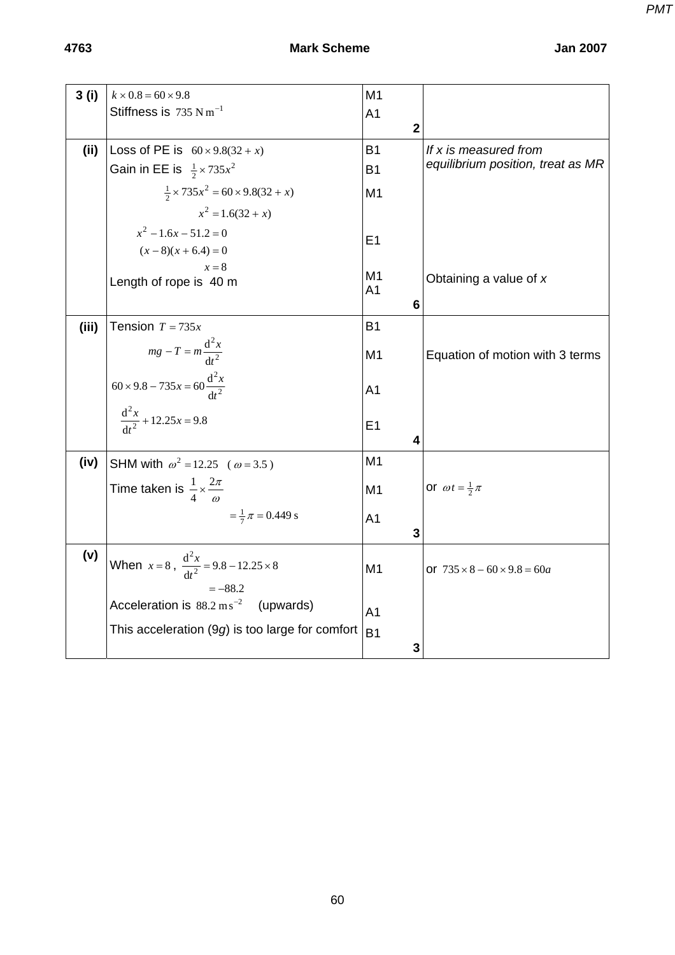| <b>Jan 200</b> |  |
|----------------|--|
|                |  |

| 3(i)  | $k \times 0.8 = 60 \times 9.8$                            | M1                  |                                         |
|-------|-----------------------------------------------------------|---------------------|-----------------------------------------|
|       | Stiffness is $735 \text{ N m}^{-1}$                       | A <sub>1</sub>      |                                         |
|       |                                                           | $\mathbf{2}$        |                                         |
| (ii)  | Loss of PE is $60 \times 9.8(32 + x)$                     | <b>B1</b>           | If x is measured from                   |
|       | Gain in EE is $\frac{1}{2} \times 735x^2$                 | <b>B1</b>           | equilibrium position, treat as MR       |
|       | $\frac{1}{2} \times 735x^2 = 60 \times 9.8(32 + x)$       | M <sub>1</sub>      |                                         |
|       | $x^2 = 1.6(32 + x)$                                       |                     |                                         |
|       | $x^2 - 1.6x - 51.2 = 0$                                   | E <sub>1</sub>      |                                         |
|       | $(x-8)(x+6.4)=0$                                          |                     |                                         |
|       | $x=8$                                                     | M1                  | Obtaining a value of $x$                |
|       | Length of rope is 40 m                                    | A <sub>1</sub>      |                                         |
|       |                                                           | 6                   |                                         |
| (iii) | Tension $T = 735x$                                        | <b>B1</b>           |                                         |
|       | $mg - T = m \frac{d^2x}{dt^2}$                            | M <sub>1</sub>      | Equation of motion with 3 terms         |
|       | $60 \times 9.8 - 735x = 60 \frac{d^2x}{dt^2}$             | A <sub>1</sub>      |                                         |
|       | $\frac{d^2x}{1^2} + 12.25x = 9.8$                         | E <sub>1</sub><br>4 |                                         |
| (iv)  | SHM with $\omega^2 = 12.25$ ( $\omega = 3.5$ )            | M <sub>1</sub>      |                                         |
|       | Time taken is $\frac{1}{4} \times \frac{2\pi}{\omega}$    | M <sub>1</sub>      | or $\omega t = \frac{1}{2}\pi$          |
|       | $=\frac{1}{7}\pi = 0.449$ s                               | A <sub>1</sub><br>3 |                                         |
| (v)   | When $x = 8$ , $\frac{d^2x}{dt^2} = 9.8 - 12.25 \times 8$ | M <sub>1</sub>      | or $735 \times 8 - 60 \times 9.8 = 60a$ |
|       | $=-88.2$                                                  |                     |                                         |
|       | Acceleration is $88.2 \text{ m s}^{-2}$ (upwards)         |                     |                                         |
|       |                                                           | A <sub>1</sub>      |                                         |
|       | This acceleration $(9g)$ is too large for comfort         | <b>B1</b>           |                                         |
|       |                                                           | 3                   |                                         |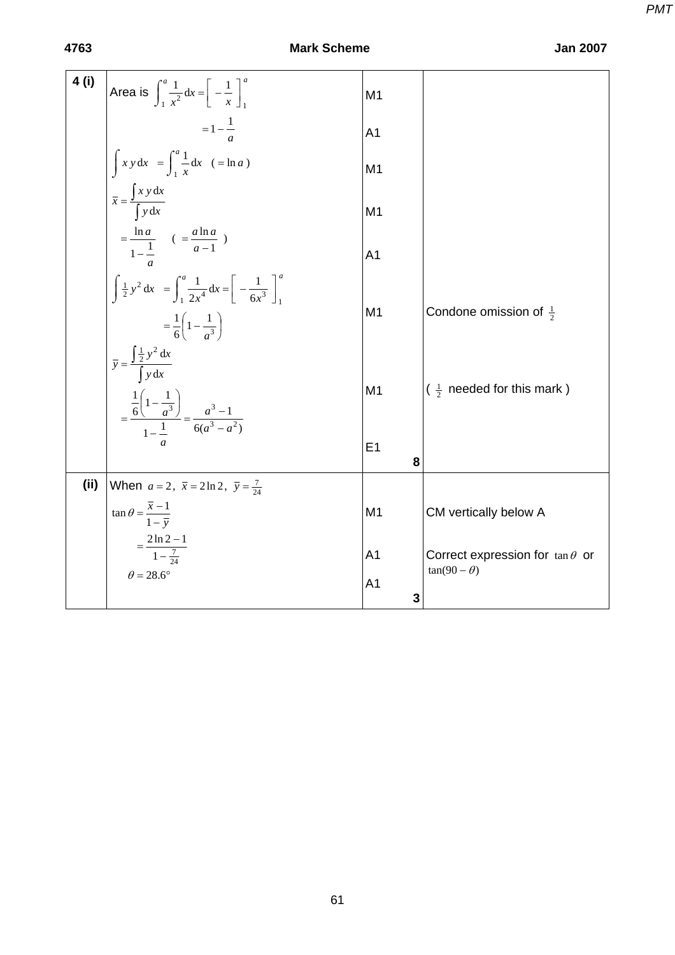| 4 (i) | Area is $\int_{1}^{a} \frac{1}{x^2} dx = \left[ -\frac{1}{x} \right]_{1}^{a}$                                                                           | M <sub>1</sub>      |                                                              |
|-------|---------------------------------------------------------------------------------------------------------------------------------------------------------|---------------------|--------------------------------------------------------------|
|       | $=1-\frac{1}{a}$                                                                                                                                        | A <sub>1</sub>      |                                                              |
|       | $\int x y dx = \int_{1}^{a} \frac{1}{x} dx$ (=lna)                                                                                                      | M <sub>1</sub>      |                                                              |
|       | $\overline{x} = \frac{\int x y dx}{\int y dx}$                                                                                                          | M <sub>1</sub>      |                                                              |
|       | $=\frac{\ln a}{1-\frac{1}{a}}$ ( $=\frac{a \ln a}{a-1}$ )                                                                                               | A <sub>1</sub>      |                                                              |
|       | $\int \frac{1}{2} y^2 dx = \int_1^a \frac{1}{2x^4} dx = \left[ -\frac{1}{6x^3} \right]_1^a$<br>$=\frac{1}{6}\left(1-\frac{1}{a^3}\right)$               | M <sub>1</sub>      | Condone omission of $\frac{1}{2}$                            |
|       | $\overline{y} = \frac{\int \frac{1}{2} y^2 dx}{\int y dx}$<br>$=\frac{\frac{1}{6}\left(1-\frac{1}{a^3}\right)}{1-\frac{1}{6}}=\frac{a^3-1}{6(a^3-a^2)}$ | M <sub>1</sub>      | $\left(\frac{1}{2}\right)$ needed for this mark )            |
|       |                                                                                                                                                         | E <sub>1</sub><br>8 |                                                              |
| (i)   | When $a = 2$ , $\bar{x} = 2 \ln 2$ , $\bar{y} = \frac{7}{24}$                                                                                           |                     |                                                              |
|       | $\tan \theta = \frac{\overline{x} - 1}{1 - \overline{y}}$                                                                                               | M <sub>1</sub>      | CM vertically below A                                        |
|       | $=\frac{2\ln 2 - 1}{1 - \frac{7}{24}}$                                                                                                                  | A <sub>1</sub>      | Correct expression for $tan \theta$ or<br>$tan(90 - \theta)$ |
|       | $\theta = 28.6^\circ$                                                                                                                                   | A <sub>1</sub><br>3 |                                                              |